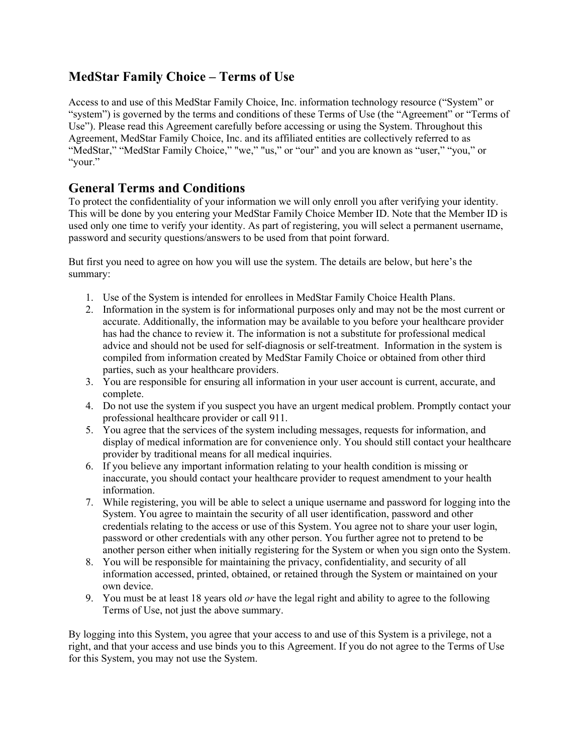# **MedStar Family Choice – Terms of Use**

Access to and use of this MedStar Family Choice, Inc. information technology resource ("System" or "system") is governed by the terms and conditions of these Terms of Use (the "Agreement" or "Terms of Use"). Please read this Agreement carefully before accessing or using the System. Throughout this Agreement, MedStar Family Choice, Inc. and its affiliated entities are collectively referred to as "MedStar," "MedStar Family Choice," "we," "us," or "our" and you are known as "user," "you," or "your."

### **General Terms and Conditions**

To protect the confidentiality of your information we will only enroll you after verifying your identity. This will be done by you entering your MedStar Family Choice Member ID. Note that the Member ID is used only one time to verify your identity. As part of registering, you will select a permanent username, password and security questions/answers to be used from that point forward.

But first you need to agree on how you will use the system. The details are below, but here's the summary:

- 1. Use of the System is intended for enrollees in MedStar Family Choice Health Plans.
- 2. Information in the system is for informational purposes only and may not be the most current or accurate. Additionally, the information may be available to you before your healthcare provider has had the chance to review it. The information is not a substitute for professional medical advice and should not be used for self-diagnosis or self-treatment. Information in the system is compiled from information created by MedStar Family Choice or obtained from other third parties, such as your healthcare providers.
- 3. You are responsible for ensuring all information in your user account is current, accurate, and complete.
- 4. Do not use the system if you suspect you have an urgent medical problem. Promptly contact your professional healthcare provider or call 911.
- 5. You agree that the services of the system including messages, requests for information, and display of medical information are for convenience only. You should still contact your healthcare provider by traditional means for all medical inquiries.
- 6. If you believe any important information relating to your health condition is missing or inaccurate, you should contact your healthcare provider to request amendment to your health information.
- 7. While registering, you will be able to select a unique username and password for logging into the System. You agree to maintain the security of all user identification, password and other credentials relating to the access or use of this System. You agree not to share your user login, password or other credentials with any other person. You further agree not to pretend to be another person either when initially registering for the System or when you sign onto the System.
- 8. You will be responsible for maintaining the privacy, confidentiality, and security of all information accessed, printed, obtained, or retained through the System or maintained on your own device.
- 9. You must be at least 18 years old *or* have the legal right and ability to agree to the following Terms of Use, not just the above summary.

By logging into this System, you agree that your access to and use of this System is a privilege, not a right, and that your access and use binds you to this Agreement. If you do not agree to the Terms of Use for this System, you may not use the System.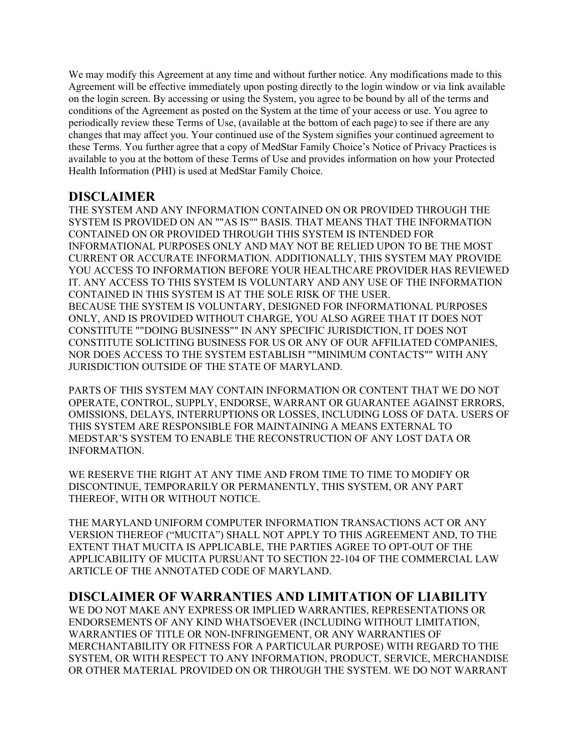We may modify this Agreement at any time and without further notice. Any modifications made to this Agreement will be effective immediately upon posting directly to the login window or via link available on the login screen. By accessing or using the System, you agree to be bound by all of the terms and conditions of the Agreement as posted on the System at the time of your access or use. You agree to periodically review these Terms of Use, (available at the bottom of each page) to see if there are any changes that may affect you. Your continued use of the System signifies your continued agreement to these Terms. You further agree that a copy of MedStar Family Choice's Notice of Privacy Practices is available to you at the bottom of these Terms of Use and provides information on how your Protected Health Information (PHI) is used at MedStar Family Choice.

### **DISCLAIMER**

THE SYSTEM AND ANY INFORMATION CONTAINED ON OR PROVIDED THROUGH THE SYSTEM IS PROVIDED ON AN ""AS IS"" BASIS. THAT MEANS THAT THE INFORMATION CONTAINED ON OR PROVIDED THROUGH THIS SYSTEM IS INTENDED FOR INFORMATIONAL PURPOSES ONLY AND MAY NOT BE RELIED UPON TO BE THE MOST CURRENT OR ACCURATE INFORMATION. ADDITIONALLY, THIS SYSTEM MAY PROVIDE YOU ACCESS TO INFORMATION BEFORE YOUR HEALTHCARE PROVIDER HAS REVIEWED IT. ANY ACCESS TO THIS SYSTEM IS VOLUNTARY AND ANY USE OF THE INFORMATION CONTAINED IN THIS SYSTEM IS AT THE SOLE RISK OF THE USER. BECAUSE THE SYSTEM IS VOLUNTARY, DESIGNED FOR INFORMATIONAL PURPOSES ONLY, AND IS PROVIDED WITHOUT CHARGE, YOU ALSO AGREE THAT IT DOES NOT CONSTITUTE ""DOING BUSINESS"" IN ANY SPECIFIC JURISDICTION, IT DOES NOT CONSTITUTE SOLICITING BUSINESS FOR US OR ANY OF OUR AFFILIATED COMPANIES, NOR DOES ACCESS TO THE SYSTEM ESTABLISH ""MINIMUM CONTACTS"" WITH ANY JURISDICTION OUTSIDE OF THE STATE OF MARYLAND.

PARTS OF THIS SYSTEM MAY CONTAIN INFORMATION OR CONTENT THAT WE DO NOT OPERATE, CONTROL, SUPPLY, ENDORSE, WARRANT OR GUARANTEE AGAINST ERRORS, OMISSIONS, DELAYS, INTERRUPTIONS OR LOSSES, INCLUDING LOSS OF DATA. USERS OF THIS SYSTEM ARE RESPONSIBLE FOR MAINTAINING A MEANS EXTERNAL TO MEDSTAR'S SYSTEM TO ENABLE THE RECONSTRUCTION OF ANY LOST DATA OR INFORMATION.

WE RESERVE THE RIGHT AT ANY TIME AND FROM TIME TO TIME TO MODIFY OR DISCONTINUE, TEMPORARILY OR PERMANENTLY, THIS SYSTEM, OR ANY PART THEREOF, WITH OR WITHOUT NOTICE.

THE MARYLAND UNIFORM COMPUTER INFORMATION TRANSACTIONS ACT OR ANY VERSION THEREOF ("MUCITA") SHALL NOT APPLY TO THIS AGREEMENT AND, TO THE EXTENT THAT MUCITA IS APPLICABLE, THE PARTIES AGREE TO OPT-OUT OF THE APPLICABILITY OF MUCITA PURSUANT TO SECTION 22-104 OF THE COMMERCIAL LAW ARTICLE OF THE ANNOTATED CODE OF MARYLAND.

#### **DISCLAIMER OF WARRANTIES AND LIMITATION OF LIABILITY**

WE DO NOT MAKE ANY EXPRESS OR IMPLIED WARRANTIES, REPRESENTATIONS OR ENDORSEMENTS OF ANY KIND WHATSOEVER (INCLUDING WITHOUT LIMITATION, WARRANTIES OF TITLE OR NON-INFRINGEMENT, OR ANY WARRANTIES OF MERCHANTABILITY OR FITNESS FOR A PARTICULAR PURPOSE) WITH REGARD TO THE SYSTEM, OR WITH RESPECT TO ANY INFORMATION, PRODUCT, SERVICE, MERCHANDISE OR OTHER MATERIAL PROVIDED ON OR THROUGH THE SYSTEM. WE DO NOT WARRANT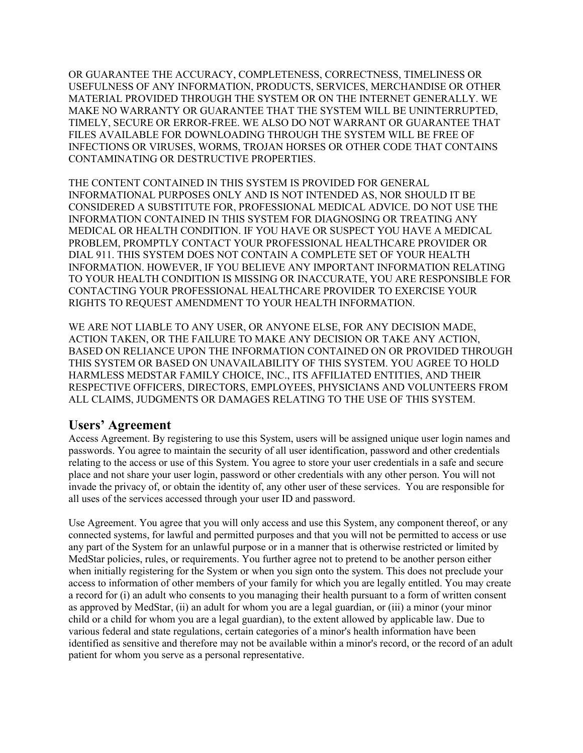OR GUARANTEE THE ACCURACY, COMPLETENESS, CORRECTNESS, TIMELINESS OR USEFULNESS OF ANY INFORMATION, PRODUCTS, SERVICES, MERCHANDISE OR OTHER MATERIAL PROVIDED THROUGH THE SYSTEM OR ON THE INTERNET GENERALLY. WE MAKE NO WARRANTY OR GUARANTEE THAT THE SYSTEM WILL BE UNINTERRUPTED, TIMELY, SECURE OR ERROR-FREE. WE ALSO DO NOT WARRANT OR GUARANTEE THAT FILES AVAILABLE FOR DOWNLOADING THROUGH THE SYSTEM WILL BE FREE OF INFECTIONS OR VIRUSES, WORMS, TROJAN HORSES OR OTHER CODE THAT CONTAINS CONTAMINATING OR DESTRUCTIVE PROPERTIES.

THE CONTENT CONTAINED IN THIS SYSTEM IS PROVIDED FOR GENERAL INFORMATIONAL PURPOSES ONLY AND IS NOT INTENDED AS, NOR SHOULD IT BE CONSIDERED A SUBSTITUTE FOR, PROFESSIONAL MEDICAL ADVICE. DO NOT USE THE INFORMATION CONTAINED IN THIS SYSTEM FOR DIAGNOSING OR TREATING ANY MEDICAL OR HEALTH CONDITION. IF YOU HAVE OR SUSPECT YOU HAVE A MEDICAL PROBLEM, PROMPTLY CONTACT YOUR PROFESSIONAL HEALTHCARE PROVIDER OR DIAL 911. THIS SYSTEM DOES NOT CONTAIN A COMPLETE SET OF YOUR HEALTH INFORMATION. HOWEVER, IF YOU BELIEVE ANY IMPORTANT INFORMATION RELATING TO YOUR HEALTH CONDITION IS MISSING OR INACCURATE, YOU ARE RESPONSIBLE FOR CONTACTING YOUR PROFESSIONAL HEALTHCARE PROVIDER TO EXERCISE YOUR RIGHTS TO REQUEST AMENDMENT TO YOUR HEALTH INFORMATION.

WE ARE NOT LIABLE TO ANY USER, OR ANYONE ELSE, FOR ANY DECISION MADE, ACTION TAKEN, OR THE FAILURE TO MAKE ANY DECISION OR TAKE ANY ACTION, BASED ON RELIANCE UPON THE INFORMATION CONTAINED ON OR PROVIDED THROUGH THIS SYSTEM OR BASED ON UNAVAILABILITY OF THIS SYSTEM. YOU AGREE TO HOLD HARMLESS MEDSTAR FAMILY CHOICE, INC., ITS AFFILIATED ENTITIES, AND THEIR RESPECTIVE OFFICERS, DIRECTORS, EMPLOYEES, PHYSICIANS AND VOLUNTEERS FROM ALL CLAIMS, JUDGMENTS OR DAMAGES RELATING TO THE USE OF THIS SYSTEM.

#### **Users' Agreement**

Access Agreement. By registering to use this System, users will be assigned unique user login names and passwords. You agree to maintain the security of all user identification, password and other credentials relating to the access or use of this System. You agree to store your user credentials in a safe and secure place and not share your user login, password or other credentials with any other person. You will not invade the privacy of, or obtain the identity of, any other user of these services. You are responsible for all uses of the services accessed through your user ID and password.

Use Agreement. You agree that you will only access and use this System, any component thereof, or any connected systems, for lawful and permitted purposes and that you will not be permitted to access or use any part of the System for an unlawful purpose or in a manner that is otherwise restricted or limited by MedStar policies, rules, or requirements. You further agree not to pretend to be another person either when initially registering for the System or when you sign onto the system. This does not preclude your access to information of other members of your family for which you are legally entitled. You may create a record for (i) an adult who consents to you managing their health pursuant to a form of written consent as approved by MedStar, (ii) an adult for whom you are a legal guardian, or (iii) a minor (your minor child or a child for whom you are a legal guardian), to the extent allowed by applicable law. Due to various federal and state regulations, certain categories of a minor's health information have been identified as sensitive and therefore may not be available within a minor's record, or the record of an adult patient for whom you serve as a personal representative.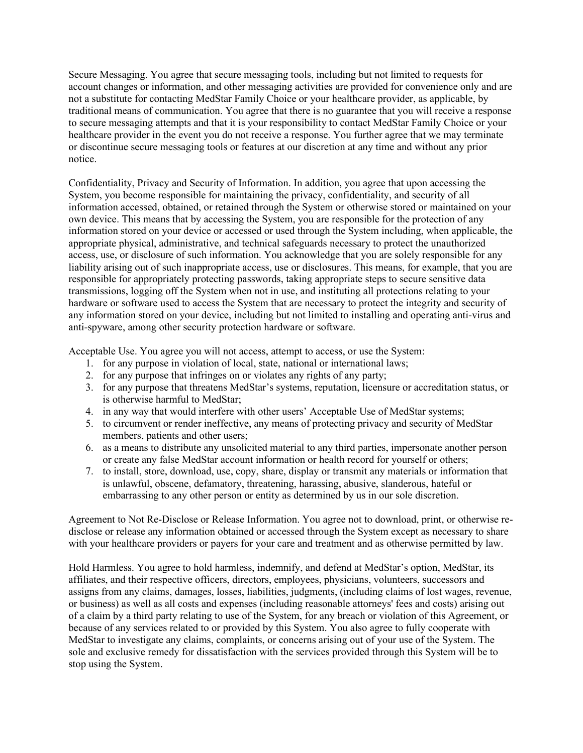Secure Messaging. You agree that secure messaging tools, including but not limited to requests for account changes or information, and other messaging activities are provided for convenience only and are not a substitute for contacting MedStar Family Choice or your healthcare provider, as applicable, by traditional means of communication. You agree that there is no guarantee that you will receive a response to secure messaging attempts and that it is your responsibility to contact MedStar Family Choice or your healthcare provider in the event you do not receive a response. You further agree that we may terminate or discontinue secure messaging tools or features at our discretion at any time and without any prior notice.

Confidentiality, Privacy and Security of Information. In addition, you agree that upon accessing the System, you become responsible for maintaining the privacy, confidentiality, and security of all information accessed, obtained, or retained through the System or otherwise stored or maintained on your own device. This means that by accessing the System, you are responsible for the protection of any information stored on your device or accessed or used through the System including, when applicable, the appropriate physical, administrative, and technical safeguards necessary to protect the unauthorized access, use, or disclosure of such information. You acknowledge that you are solely responsible for any liability arising out of such inappropriate access, use or disclosures. This means, for example, that you are responsible for appropriately protecting passwords, taking appropriate steps to secure sensitive data transmissions, logging off the System when not in use, and instituting all protections relating to your hardware or software used to access the System that are necessary to protect the integrity and security of any information stored on your device, including but not limited to installing and operating anti-virus and anti-spyware, among other security protection hardware or software.

Acceptable Use. You agree you will not access, attempt to access, or use the System:

- 1. for any purpose in violation of local, state, national or international laws;
- 2. for any purpose that infringes on or violates any rights of any party;
- 3. for any purpose that threatens MedStar's systems, reputation, licensure or accreditation status, or is otherwise harmful to MedStar;
- 4. in any way that would interfere with other users' Acceptable Use of MedStar systems;
- 5. to circumvent or render ineffective, any means of protecting privacy and security of MedStar members, patients and other users;
- 6. as a means to distribute any unsolicited material to any third parties, impersonate another person or create any false MedStar account information or health record for yourself or others;
- 7. to install, store, download, use, copy, share, display or transmit any materials or information that is unlawful, obscene, defamatory, threatening, harassing, abusive, slanderous, hateful or embarrassing to any other person or entity as determined by us in our sole discretion.

Agreement to Not Re-Disclose or Release Information. You agree not to download, print, or otherwise redisclose or release any information obtained or accessed through the System except as necessary to share with your healthcare providers or payers for your care and treatment and as otherwise permitted by law.

Hold Harmless. You agree to hold harmless, indemnify, and defend at MedStar's option, MedStar, its affiliates, and their respective officers, directors, employees, physicians, volunteers, successors and assigns from any claims, damages, losses, liabilities, judgments, (including claims of lost wages, revenue, or business) as well as all costs and expenses (including reasonable attorneys' fees and costs) arising out of a claim by a third party relating to use of the System, for any breach or violation of this Agreement, or because of any services related to or provided by this System. You also agree to fully cooperate with MedStar to investigate any claims, complaints, or concerns arising out of your use of the System. The sole and exclusive remedy for dissatisfaction with the services provided through this System will be to stop using the System.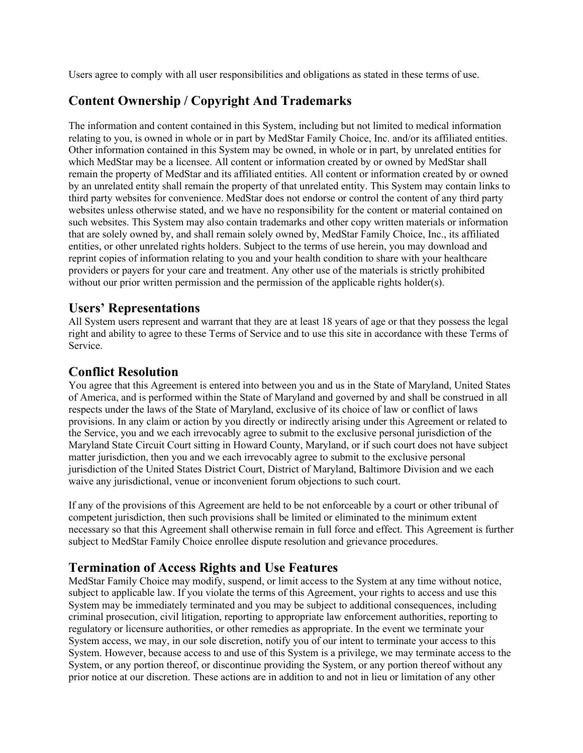Users agree to comply with all user responsibilities and obligations as stated in these terms of use.

## **Content Ownership / Copyright And Trademarks**

The information and content contained in this System, including but not limited to medical information relating to you, is owned in whole or in part by MedStar Family Choice, Inc. and/or its affiliated entities. Other information contained in this System may be owned, in whole or in part, by unrelated entities for which MedStar may be a licensee. All content or information created by or owned by MedStar shall remain the property of MedStar and its affiliated entities. All content or information created by or owned by an unrelated entity shall remain the property of that unrelated entity. This System may contain links to third party websites for convenience. MedStar does not endorse or control the content of any third party websites unless otherwise stated, and we have no responsibility for the content or material contained on such websites. This System may also contain trademarks and other copy written materials or information that are solely owned by, and shall remain solely owned by, MedStar Family Choice, Inc., its affiliated entities, or other unrelated rights holders. Subject to the terms of use herein, you may download and reprint copies of information relating to you and your health condition to share with your healthcare providers or payers for your care and treatment. Any other use of the materials is strictly prohibited without our prior written permission and the permission of the applicable rights holder(s).

## **Users' Representations**

All System users represent and warrant that they are at least 18 years of age or that they possess the legal right and ability to agree to these Terms of Service and to use this site in accordance with these Terms of Service.

## **Conflict Resolution**

You agree that this Agreement is entered into between you and us in the State of Maryland, United States of America, and is performed within the State of Maryland and governed by and shall be construed in all respects under the laws of the State of Maryland, exclusive of its choice of law or conflict of laws provisions. In any claim or action by you directly or indirectly arising under this Agreement or related to the Service, you and we each irrevocably agree to submit to the exclusive personal jurisdiction of the Maryland State Circuit Court sitting in Howard County, Maryland, or if such court does not have subject matter jurisdiction, then you and we each irrevocably agree to submit to the exclusive personal jurisdiction of the United States District Court, District of Maryland, Baltimore Division and we each waive any jurisdictional, venue or inconvenient forum objections to such court.

If any of the provisions of this Agreement are held to be not enforceable by a court or other tribunal of competent jurisdiction, then such provisions shall be limited or eliminated to the minimum extent necessary so that this Agreement shall otherwise remain in full force and effect. This Agreement is further subject to MedStar Family Choice enrollee dispute resolution and grievance procedures.

#### **Termination of Access Rights and Use Features**

MedStar Family Choice may modify, suspend, or limit access to the System at any time without notice, subject to applicable law. If you violate the terms of this Agreement, your rights to access and use this System may be immediately terminated and you may be subject to additional consequences, including criminal prosecution, civil litigation, reporting to appropriate law enforcement authorities, reporting to regulatory or licensure authorities, or other remedies as appropriate. In the event we terminate your System access, we may, in our sole discretion, notify you of our intent to terminate your access to this System. However, because access to and use of this System is a privilege, we may terminate access to the System, or any portion thereof, or discontinue providing the System, or any portion thereof without any prior notice at our discretion. These actions are in addition to and not in lieu or limitation of any other